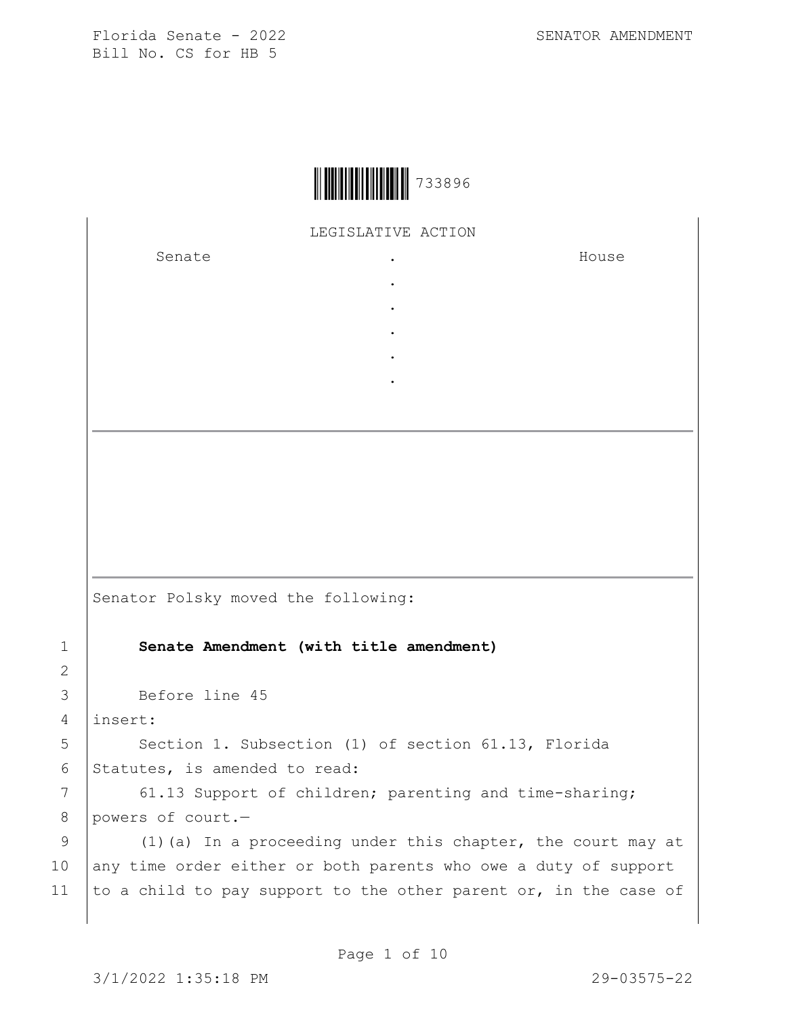

LEGISLATIVE ACTION

. . . . .

Senate .

House

Senator Polsky moved the following:

1 **Senate Amendment (with title amendment)**

3 Before line 45

4 insert:

2

5 | Section 1. Subsection (1) of section 61.13, Florida 6 Statutes, is amended to read:

7 61.13 Support of children; parenting and time-sharing; 8 powers of court.-

9 (1)(a) In a proceeding under this chapter, the court may at 10 any time order either or both parents who owe a duty of support 11 to a child to pay support to the other parent or, in the case of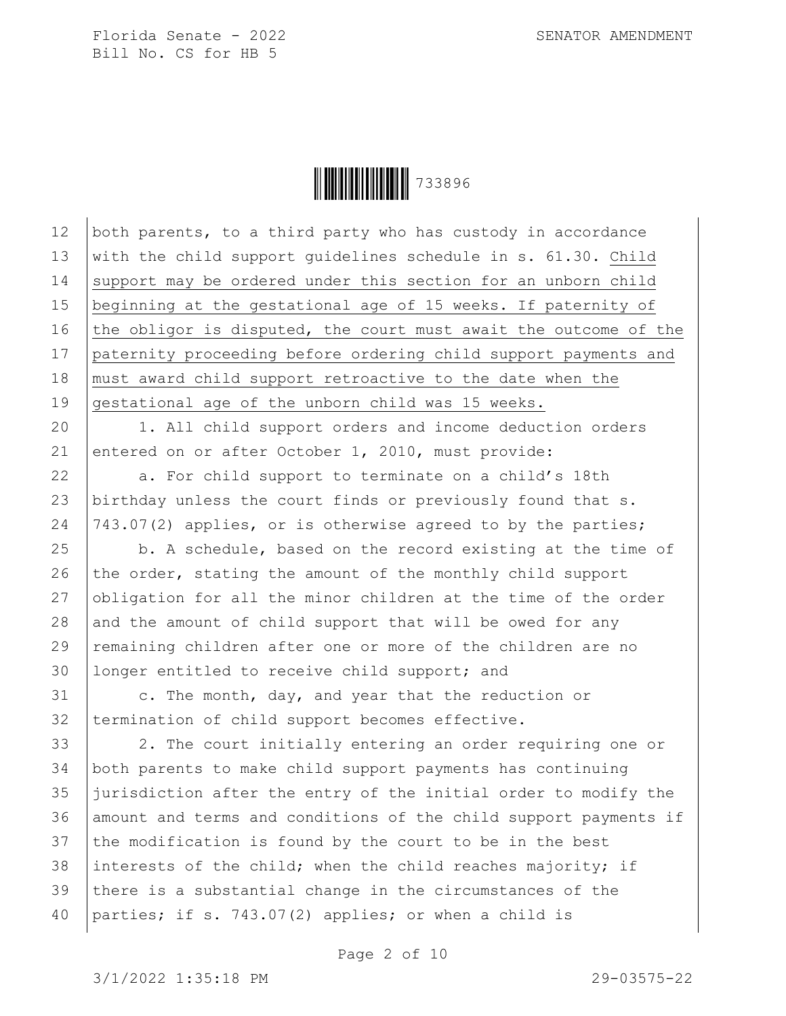Ì733896\Î733896

12 both parents, to a third party who has custody in accordance 13 with the child support quidelines schedule in  $s. 61.30.$  Child 14 support may be ordered under this section for an unborn child 15 beginning at the gestational age of 15 weeks. If paternity of 16 the obligor is disputed, the court must await the outcome of the 17 paternity proceeding before ordering child support payments and 18 | must award child support retroactive to the date when the 19 gestational age of the unborn child was 15 weeks.

20 | 1. All child support orders and income deduction orders 21 entered on or after October 1, 2010, must provide:

22 a. For child support to terminate on a child's 18th 23 birthday unless the court finds or previously found that s. 24  $|743.07(2)$  applies, or is otherwise agreed to by the parties;

 $25$   $\vert$  b. A schedule, based on the record existing at the time of 26 the order, stating the amount of the monthly child support 27 obligation for all the minor children at the time of the order 28 and the amount of child support that will be owed for any 29 remaining children after one or more of the children are no 30 longer entitled to receive child support; and

31 c. The month, day, and year that the reduction or 32 | termination of child support becomes effective.

33 2. The court initially entering an order requiring one or 34 both parents to make child support payments has continuing 35 jurisdiction after the entry of the initial order to modify the 36 amount and terms and conditions of the child support payments if 37 the modification is found by the court to be in the best 38 interests of the child; when the child reaches majority; if 39 there is a substantial change in the circumstances of the 40 parties; if s. 743.07(2) applies; or when a child is

Page 2 of 10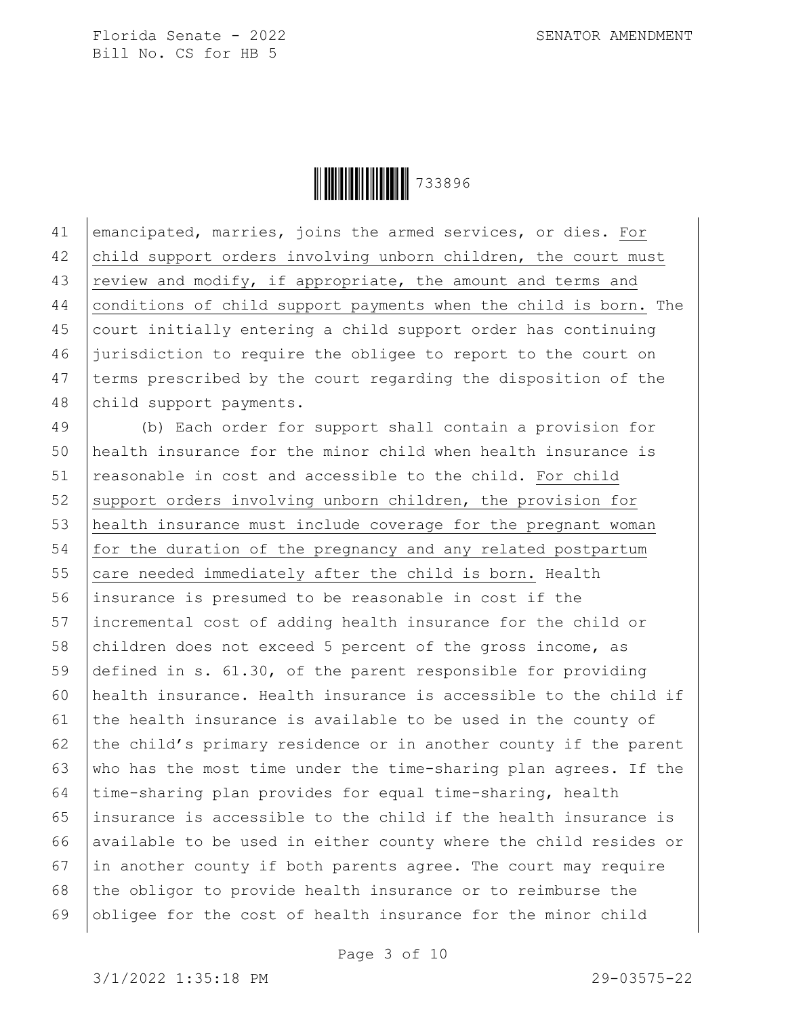Ì733896\Î733896

41 emancipated, marries, joins the armed services, or dies. For 42 child support orders involving unborn children, the court must 43  $\vert$  review and modify, if appropriate, the amount and terms and 44 conditions of child support payments when the child is born. The 45 court initially entering a child support order has continuing 46 jurisdiction to require the obligee to report to the court on 47 terms prescribed by the court regarding the disposition of the 48 child support payments.

49 (b) Each order for support shall contain a provision for 50 health insurance for the minor child when health insurance is 51 reasonable in cost and accessible to the child. For child 52 support orders involving unborn children, the provision for 53 health insurance must include coverage for the pregnant woman 54 for the duration of the pregnancy and any related postpartum  $55$  care needed immediately after the child is born. Health 56 insurance is presumed to be reasonable in cost if the 57 incremental cost of adding health insurance for the child or 58 children does not exceed 5 percent of the gross income, as 59 defined in s. 61.30, of the parent responsible for providing 60 health insurance. Health insurance is accessible to the child if 61 the health insurance is available to be used in the county of 62  $\vert$  the child's primary residence or in another county if the parent 63  $\mid$  who has the most time under the time-sharing plan agrees. If the 64 time-sharing plan provides for equal time-sharing, health 65 insurance is accessible to the child if the health insurance is 66 available to be used in either county where the child resides or  $67$  in another county if both parents agree. The court may require 68 the obligor to provide health insurance or to reimburse the 69 obligee for the cost of health insurance for the minor child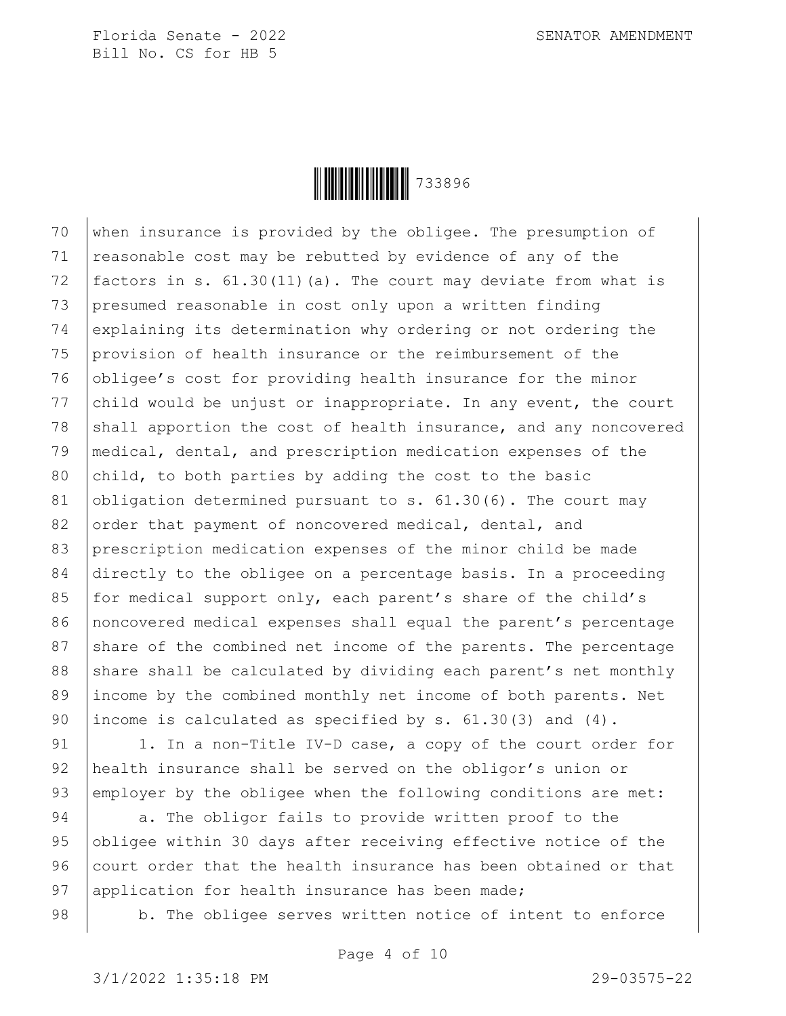**││││││││││││││** 733896

70  $\vert$  when insurance is provided by the obligee. The presumption of  $71$  reasonable cost may be rebutted by evidence of any of the 72 factors in s. 61.30(11)(a). The court may deviate from what is 73 presumed reasonable in cost only upon a written finding 74 explaining its determination why ordering or not ordering the 75 provision of health insurance or the reimbursement of the 76 obligee's cost for providing health insurance for the minor 77 child would be unjust or inappropriate. In any event, the court 78  $\beta$  shall apportion the cost of health insurance, and any noncovered 79 medical, dental, and prescription medication expenses of the 80  $|child, to both parties by adding the cost to the basic$ 81 obligation determined pursuant to s.  $61.30(6)$ . The court may 82 order that payment of noncovered medical, dental, and 83 prescription medication expenses of the minor child be made 84 directly to the obligee on a percentage basis. In a proceeding 85 for medical support only, each parent's share of the child's 86 noncovered medical expenses shall equal the parent's percentage 87 share of the combined net income of the parents. The percentage 88 share shall be calculated by dividing each parent's net monthly 89 income by the combined monthly net income of both parents. Net 90 income is calculated as specified by s.  $61.30(3)$  and  $(4)$ .

91 | 1. In a non-Title IV-D case, a copy of the court order for 92 health insurance shall be served on the obligor's union or 93 employer by the obligee when the following conditions are met:

94 | a. The obligor fails to provide written proof to the 95 obligee within 30 days after receiving effective notice of the 96 court order that the health insurance has been obtained or that 97 application for health insurance has been made;

98 | b. The obligee serves written notice of intent to enforce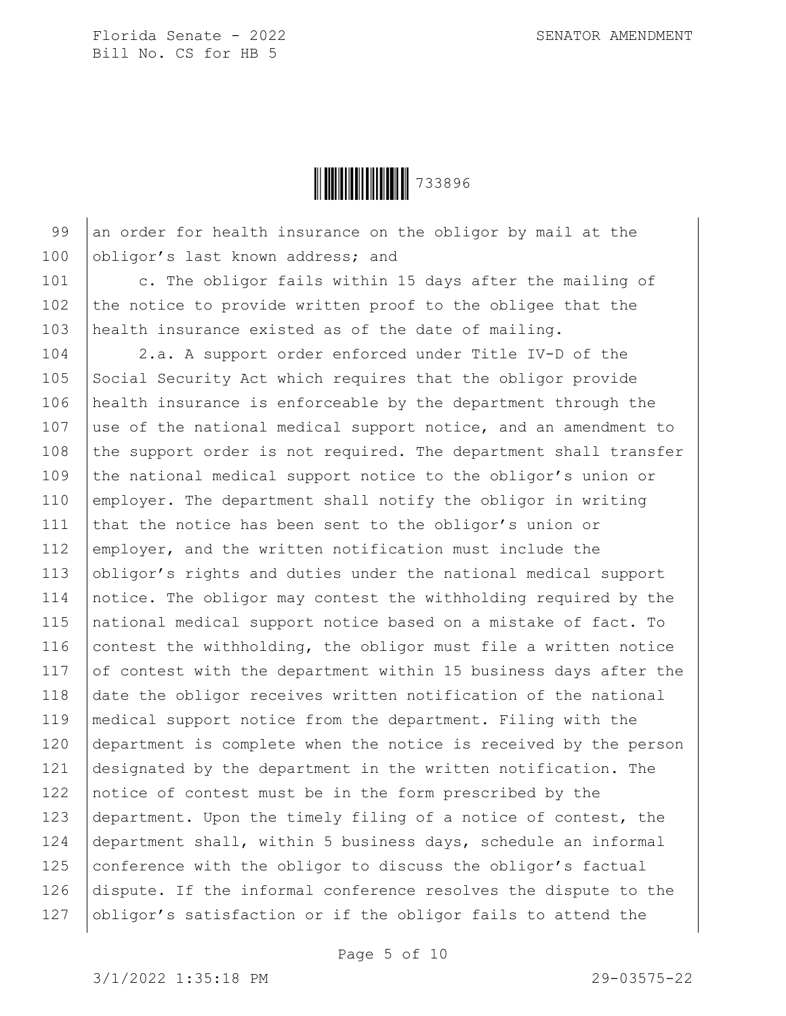**│││││││││││││** 733896

99 an order for health insurance on the obligor by mail at the 100 obligor's last known address; and

101 | c. The obligor fails within 15 days after the mailing of 102 the notice to provide written proof to the obligee that the 103 health insurance existed as of the date of mailing.

104 2.a. A support order enforced under Title IV-D of the 105 Social Security Act which requires that the obligor provide 106 health insurance is enforceable by the department through the 107 use of the national medical support notice, and an amendment to 108  $\vert$  the support order is not required. The department shall transfer 109 the national medical support notice to the obligor's union or 110 employer. The department shall notify the obligor in writing 111 that the notice has been sent to the obligor's union or 112 employer, and the written notification must include the 113 obligor's rights and duties under the national medical support 114 notice. The obligor may contest the withholding required by the 115 national medical support notice based on a mistake of fact. To 116 contest the withholding, the obligor must file a written notice 117  $\sigma$  of contest with the department within 15 business days after the 118 date the obligor receives written notification of the national 119 medical support notice from the department. Filing with the 120 department is complete when the notice is received by the person 121 designated by the department in the written notification. The 122 notice of contest must be in the form prescribed by the 123 department. Upon the timely filing of a notice of contest, the 124 department shall, within 5 business days, schedule an informal 125 conference with the obligor to discuss the obligor's factual 126 dispute. If the informal conference resolves the dispute to the 127 obligor's satisfaction or if the obligor fails to attend the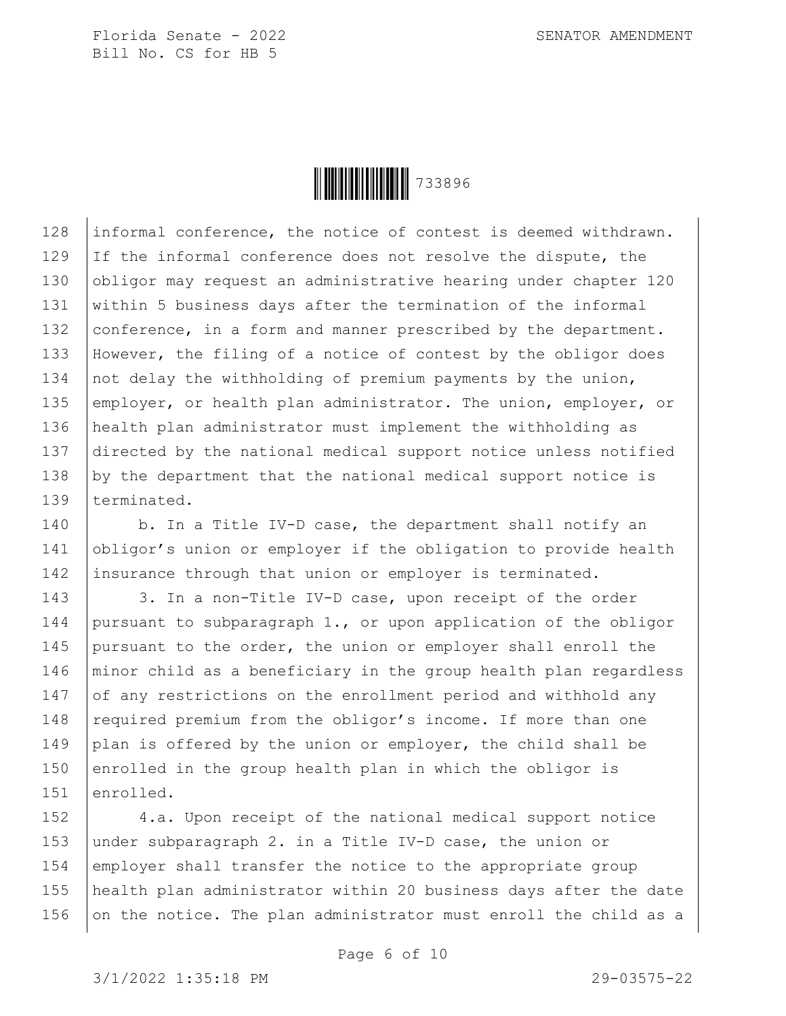

128 informal conference, the notice of contest is deemed withdrawn. 129 If the informal conference does not resolve the dispute, the 130 obligor may request an administrative hearing under chapter 120 131 within 5 business days after the termination of the informal 132 conference, in a form and manner prescribed by the department. 133 However, the filing of a notice of contest by the obligor does 134 not delay the withholding of premium payments by the union, 135 employer, or health plan administrator. The union, employer, or 136 health plan administrator must implement the withholding as 137 directed by the national medical support notice unless notified 138 by the department that the national medical support notice is 139 terminated.

140 b. In a Title IV-D case, the department shall notify an 141 obligor's union or employer if the obligation to provide health 142 insurance through that union or employer is terminated.

143 3. In a non-Title IV-D case, upon receipt of the order 144 pursuant to subparagraph 1., or upon application of the obligor 145 pursuant to the order, the union or employer shall enroll the 146 | minor child as a beneficiary in the group health plan regardless 147 of any restrictions on the enrollment period and withhold any 148 required premium from the obligor's income. If more than one 149 plan is offered by the union or employer, the child shall be 150 enrolled in the group health plan in which the obligor is 151 enrolled.

152 4.a. Upon receipt of the national medical support notice 153 under subparagraph 2. in a Title IV-D case, the union or 154 employer shall transfer the notice to the appropriate group 155 health plan administrator within 20 business days after the date 156  $\vert$  on the notice. The plan administrator must enroll the child as a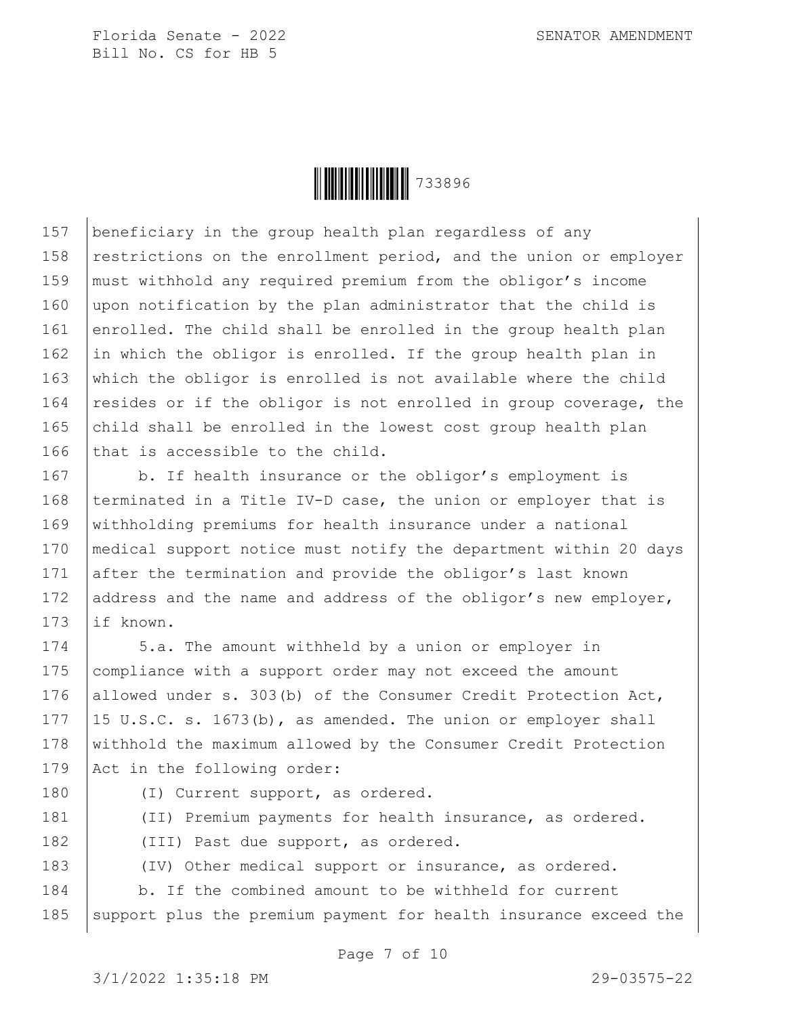**││││││││││││││** 733896

157 beneficiary in the group health plan regardless of any 158 restrictions on the enrollment period, and the union or employer 159 must withhold any required premium from the obligor's income 160 upon notification by the plan administrator that the child is 161 enrolled. The child shall be enrolled in the group health plan 162 in which the obligor is enrolled. If the group health plan in 163 which the obligor is enrolled is not available where the child 164 resides or if the obligor is not enrolled in group coverage, the 165  $\vert$  child shall be enrolled in the lowest cost group health plan 166 that is accessible to the child.

167 | b. If health insurance or the obligor's employment is 168 | terminated in a Title IV-D case, the union or employer that is 169 withholding premiums for health insurance under a national 170 medical support notice must notify the department within 20 days 171 after the termination and provide the obligor's last known 172 address and the name and address of the obligor's new employer, 173 | if known.

174 5.a. The amount withheld by a union or employer in 175 | compliance with a support order may not exceed the amount 176 allowed under s. 303(b) of the Consumer Credit Protection Act, 177  $|15 \text{ U.S.C. s. } 1673 \text{ (b)}$ , as amended. The union or employer shall 178 withhold the maximum allowed by the Consumer Credit Protection 179 Act in the following order:

180 | (I) Current support, as ordered. 181 (II) Premium payments for health insurance, as ordered. 182 | (III) Past due support, as ordered. 183 (IV) Other medical support or insurance, as ordered. 184 b. If the combined amount to be withheld for current 185 | support plus the premium payment for health insurance exceed the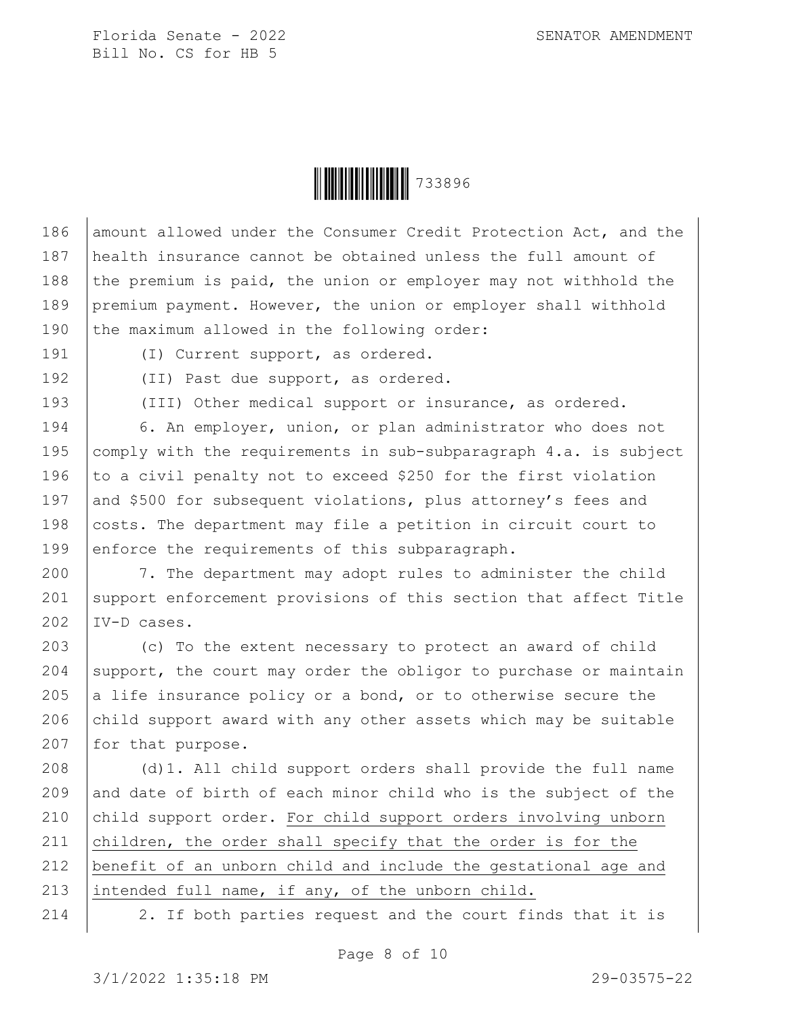**│││││││││││││** 733896

186 amount allowed under the Consumer Credit Protection Act, and the 187 health insurance cannot be obtained unless the full amount of 188 the premium is paid, the union or employer may not withhold the 189 premium payment. However, the union or employer shall withhold 190 the maximum allowed in the following order:

191 (I) Current support, as ordered.

192 | (II) Past due support, as ordered.

193 (III) Other medical support or insurance, as ordered.

194 6. An employer, union, or plan administrator who does not 195 comply with the requirements in sub-subparagraph  $4.a.$  is subject 196  $\vert$  to a civil penalty not to exceed \$250 for the first violation 197 and \$500 for subsequent violations, plus attorney's fees and 198 | costs. The department may file a petition in circuit court to 199 enforce the requirements of this subparagraph.

200 7. The department may adopt rules to administer the child 201 support enforcement provisions of this section that affect Title 202 IV-D cases.

203 (c) To the extent necessary to protect an award of child 204 support, the court may order the obligor to purchase or maintain 205  $|a|$  life insurance policy or a bond, or to otherwise secure the 206 child support award with any other assets which may be suitable 207  $|$  for that purpose.

208 | (d)1. All child support orders shall provide the full name 209 and date of birth of each minor child who is the subject of the 210 child support order. For child support orders involving unborn 211 children, the order shall specify that the order is for the 212 benefit of an unborn child and include the gestational age and 213 intended full name, if any, of the unborn child.

214 2. If both parties request and the court finds that it is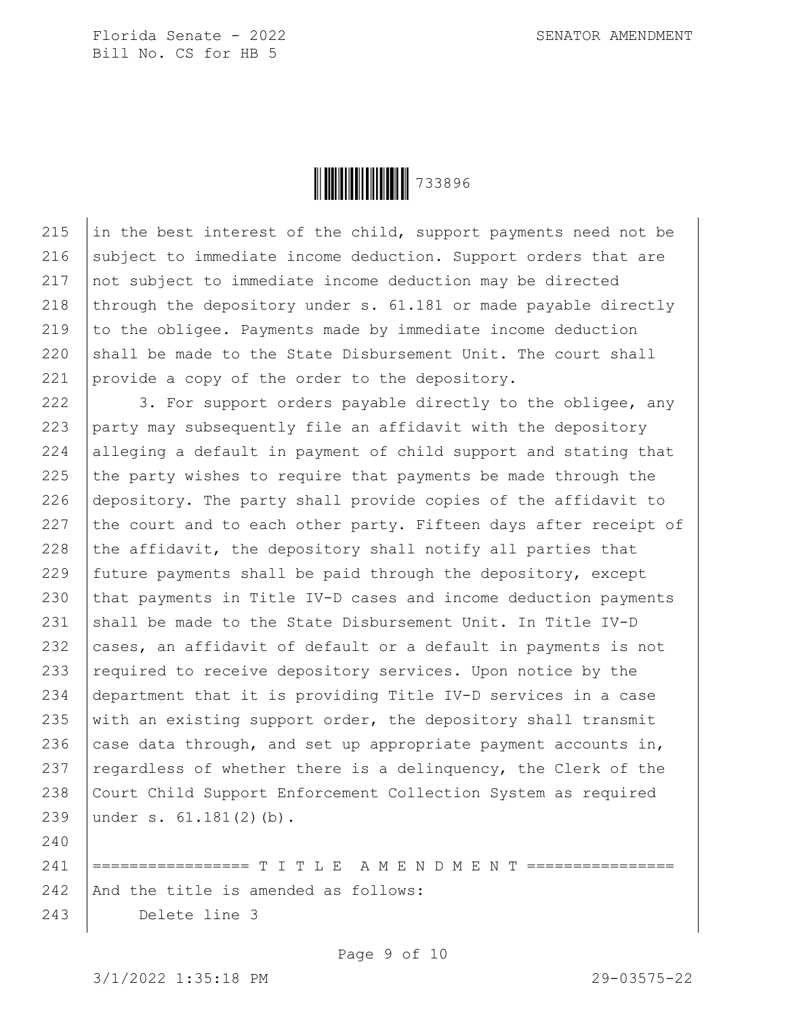

215  $\vert$  in the best interest of the child, support payments need not be 216 subject to immediate income deduction. Support orders that are 217 not subject to immediate income deduction may be directed 218 through the depository under s.  $61.181$  or made payable directly 219 to the obligee. Payments made by immediate income deduction 220 shall be made to the State Disbursement Unit. The court shall 221 provide a copy of the order to the depository.

222 3. For support orders payable directly to the obligee, any 223 party may subsequently file an affidavit with the depository 224 alleging a default in payment of child support and stating that 225  $\vert$  the party wishes to require that payments be made through the 226 depository. The party shall provide copies of the affidavit to 227 the court and to each other party. Fifteen days after receipt of 228 the affidavit, the depository shall notify all parties that 229 future payments shall be paid through the depository, except 230 that payments in Title IV-D cases and income deduction payments 231 shall be made to the State Disbursement Unit. In Title IV-D 232  $\vert$  cases, an affidavit of default or a default in payments is not 233  $\vert$  required to receive depository services. Upon notice by the 234 department that it is providing Title IV-D services in a case 235 with an existing support order, the depository shall transmit 236  $\vert$  case data through, and set up appropriate payment accounts in, 237  $\vert$  regardless of whether there is a delinquency, the Clerk of the 238 Court Child Support Enforcement Collection System as required 239 under s. 61.181(2)(b).

241 |================ T I T L E A M E N D M E N T ============== 242 And the title is amended as follows: 243 Delete line 3

Page 9 of 10

240